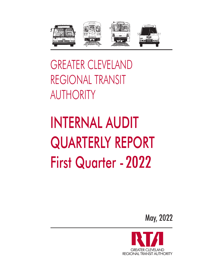

GREATER CLEVELAND REGIONAL TRANSIT AUTHORITY

# INTERNAL AUDIT QUARTERLY REPORT **First Quarter - 2022**

May, 2022

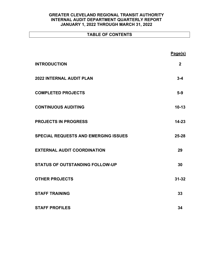# **TABLE OF CONTENTS**

|                                             | Page(s)        |
|---------------------------------------------|----------------|
| <b>INTRODUCTION</b>                         | $\overline{2}$ |
| <b>2022 INTERNAL AUDIT PLAN</b>             | $3 - 4$        |
| <b>COMPLETED PROJECTS</b>                   | $5-9$          |
| <b>CONTINUOUS AUDITING</b>                  | $10 - 13$      |
| <b>PROJECTS IN PROGRESS</b>                 | $14 - 23$      |
| <b>SPECIAL REQUESTS AND EMERGING ISSUES</b> | $25 - 28$      |
| <b>EXTERNAL AUDIT COORDINATION</b>          | 29             |
| <b>STATUS OF OUTSTANDING FOLLOW-UP</b>      | 30             |
| <b>OTHER PROJECTS</b>                       | $31 - 32$      |
| <b>STAFF TRAINING</b>                       | 33             |
| <b>STAFF PROFILES</b>                       | 34             |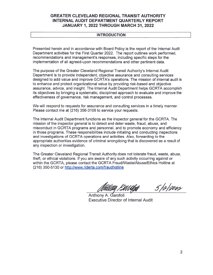#### **INTRODUCTION**

Presented herein and in accordance with Board Policy is the report of the Internal Audit Department activities for the First Quarter 2022. The report outlines work performed, recommendations and management's responses, including specific steps for the implementation of all agreed-upon recommendations and other pertinent data.

The purpose of the Greater Cleveland Regional Transit Authority's Internal Audit Department is to provide independent, objective assurance and consulting services designed to add value and improve GCRTA's operations. The mission of internal audit is to enhance and protect organizational value by providing risk-based and objective assurance, advice, and insight. The Internal Audit Department helps GCRTA accomplish its objectives by bringing a systematic, disciplined approach to evaluate and improve the effectiveness of governance, risk management, and control processes.

We will respond to requests for assurance and consulting services in a timely manner. Please contact me at (216) 356-3106 to service your requests.

The Internal Audit Department functions as the inspector general for the GCRTA. The mission of the inspector general is to detect and deter waste, fraud, abuse, and misconduct in GCRTA programs and personnel, and to promote economy and efficiency in those programs. These responsibilities include initiating and conducting inspections and investigations of GCRTA operations and activities. Also, forwarding to the appropriate authorities evidence of criminal wrongdoing that is discovered as a result of any inspection or investigation.

The Greater Cleveland Regional Transit Authority does not tolerate fraud, waste, abuse, theft, or ethical violations. If you are aware of any such activity occurring against or within the GCRTA, please contact the GCRTA Fraud/Waste/Abuse/Ethics Hotline at (216) 350-5130 or http://www.riderta.com/fraudhotline

 $512000$ 

Anthony A. Garofoli Executive Director of Internal Audit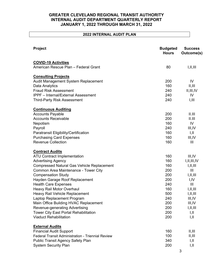# **2022 INTERNAL AUDIT PLAN**

| Project                                                  | <b>Budgeted</b><br><b>Hours</b> | <b>Success</b><br>Outcome(s) |
|----------------------------------------------------------|---------------------------------|------------------------------|
| <b>COVID-19 Activities</b>                               |                                 |                              |
| American Rescue Plan - Federal Grant                     | 80                              | I, II, III                   |
| <b>Consulting Projects</b>                               |                                 |                              |
| Audit Management System Replacement                      | 200                             | IV                           |
| Data Analytics                                           | 160                             | II, III                      |
| <b>Fraud Risk Assessment</b>                             | 240                             | II, III, IV                  |
| <b>IPPF</b> - Internal/External Assessment               | 240                             | IV                           |
| <b>Third-Party Risk Assessment</b>                       | 240                             | I, III                       |
| <b>Continuous Auditing</b>                               |                                 |                              |
| <b>Accounts Payable</b>                                  | 200                             | II.III                       |
| <b>Accounts Receivable</b>                               | 200                             | II.III                       |
| Nepotism                                                 | 160                             | IV                           |
| Payroll                                                  | 240                             | III, IV                      |
| Paratransit Eligibility/Certification                    | 160                             | I,II                         |
| <b>Purchasing Card Expenses</b>                          | 160                             | III, IV                      |
| <b>Revenue Collection</b>                                | 160                             | $\mathbf{III}$               |
| <b>Contract Audits</b>                                   |                                 |                              |
| <b>ATU Contract Implementation</b>                       | 160                             | III, IV                      |
| <b>Advertising Agency</b>                                | 160                             | I, II, III, IV               |
| <b>Compressed Natural Gas Vehicle Replacement</b>        | 160                             | I, II, III                   |
| Common Area Maintenance - Tower City                     | 200                             | $\mathbf{III}$               |
| <b>Compensation Study</b>                                | 200                             | I, II, III                   |
| Hayden Garage Roof Replacement                           | 200                             | I,IV                         |
| <b>Health Care Expenses</b>                              | 240                             | $\mathbf{III}$               |
| Heavy Rail Motor Overhaul                                | 160                             | I, II, III                   |
| Heavy Rail Vehicle Replacement                           | 500                             | I,II,III                     |
| Laptop Replacement Program                               | 240                             | III, IV                      |
| Main Office Building HVAC Replacement                    | 200                             | III, IV                      |
| Revenue-generating Advertising                           | 200                             | I, II, III                   |
| Tower City East Portal Rehabilitation                    | 200                             | I,II                         |
| <b>Viaduct Rehabilitation</b>                            | 200                             | I,II                         |
| <b>External Audits</b>                                   |                                 |                              |
| <b>Financial Audit Support</b>                           | 160                             | II, III                      |
| <b>Federal Transit Administration - Triennial Review</b> | 100                             | II, III                      |
| <b>Public Transit Agency Safety Plan</b>                 | 340                             | I,II                         |
| <b>System Security Plan</b>                              | 200                             | I,II                         |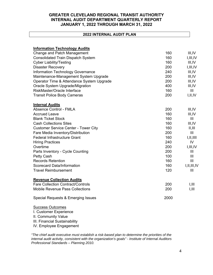# **2022 INTERNAL AUDIT PLAN**

| <b>Information Technology Audits</b>        |      |                |
|---------------------------------------------|------|----------------|
| Change and Patch Management                 | 160  | III, IV        |
| <b>Consolidated Train Dispatch System</b>   | 160  | I, III, IV     |
| <b>Cyber Liability/Testing</b>              | 160  | III, IV        |
| <b>Disaster Recovery</b>                    | 200  | I, III, IV     |
| Information Technology Governance           | 240  | III, IV        |
| Maintenance-Management System Upgrade       | 200  | III, IV        |
| Operator Time & Attendance System Upgrade   | 200  | III, IV        |
| Oracle System Upgrade/Migration             | 400  | III, IV        |
| RiskMaster/Oracle Interface                 | 160  | III            |
| <b>Transit Police Body Cameras</b>          | 200  | I,II,IV        |
| <b>Internal Audits</b>                      |      |                |
| Absence Control - FMLA                      | 200  | III, IV        |
| <b>Accrued Leave</b>                        | 160  | III, IV        |
| <b>Blank Ticket Stock</b>                   | 160  | III            |
| <b>Cash Collections Sites</b>               | 160  | III, IV        |
| <b>Customer Service Center - Tower City</b> | 160  | II, III        |
| Fare Media Inventory/Distribution           | 200  | III            |
| <b>Federal Infrastructure Grant</b>         | 160  | I, II, III     |
| <b>Hiring Practices</b>                     | 240  | IV             |
| Overtime                                    | 200  | I, III, IV     |
| Parts Inventory - Cycle Counting            | 200  | III            |
| Petty Cash                                  | 100  | III            |
| <b>Records Retention</b>                    | 160  | III            |
| <b>Scorecard Data/Information</b>           | 160  | I, II, III, IV |
| <b>Travel Reimbursement</b>                 | 120  | III            |
| <b>Revenue Collection Audits</b>            |      |                |
| <b>Fare Collection Contract/Controls</b>    | 200  | 1,111          |
| <b>Mobile Revenue Pass Collections</b>      | 200  | I, III         |
| Special Requests & Emerging Issues          | 2000 |                |
|                                             |      |                |

# Success Outcomes

I. Customer Experience II. Community Value III. Financial Sustainability IV. Employee Engagement

*"The chief audit executive must establish a risk-based plan to determine the priorities of the internal audit activity, consistent with the organization's goals" - Institute of Internal Auditors Professional Standards – Planning 2010.*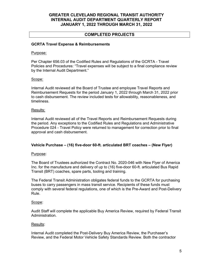# **COMPLETED PROJECTS**

# **GCRTA Travel Expense & Reimbursements**

#### Purpose:

Per Chapter 656.03 of the Codified Rules and Regulations of the GCRTA - Travel Policies and Procedures: "Travel expenses will be subject to a final compliance review by the Internal Audit Department."

# Scope:

Internal Audit reviewed all the Board of Trustee and employee Travel Reports and Reimbursement Requests for the period January 1, 2022 through March 31, 2022 prior to cash disbursement. The review included tests for allowability, reasonableness, and timeliness.

#### Results:

Internal Audit reviewed all of the Travel Reports and Reimbursement Requests during the period. Any exceptions to the Codified Rules and Regulations and Administrative Procedure 024 - Travel Policy were returned to management for correction prior to final approval and cash disbursement.

# **Vehicle Purchase – (16) five-door 60-ft. articulated BRT coaches – (New Flyer)**

# Purpose:

The Board of Trustees authorized the Contract No. 2020-046 with New Flyer of America Inc. for the manufacture and delivery of up to (16) five-door 60-ft. articulated Bus Rapid Transit (BRT) coaches, spare parts, tooling and training.

The Federal Transit Administration obligates federal funds to the GCRTA for purchasing buses to carry passengers in mass transit service. Recipients of these funds must comply with several federal regulations, one of which is the Pre-Award and Post-Delivery Rule.

# Scope:

Audit Staff will complete the applicable Buy America Review, required by Federal Transit Administration.

# Results:

Internal Audit completed the Post-Delivery Buy America Review, the Purchaser's Review, and the Federal Motor Vehicle Safety Standards Review. Both the contractor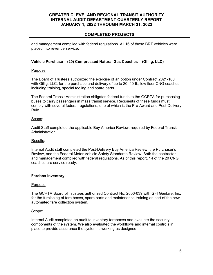# **COMPLETED PROJECTS**

and management complied with federal regulations. All 16 of these BRT vehicles were placed into revenue service.

# **Vehicle Purchase – (20) Compressed Natural Gas Coaches – (Gillig, LLC)**

#### Purpose:

The Board of Trustees authorized the exercise of an option under Contract 2021-100 with Gillig, LLC, for the purchase and delivery of up to 20, 40-ft., low floor CNG coaches including training, special tooling and spare parts.

The Federal Transit Administration obligates federal funds to the GCRTA for purchasing buses to carry passengers in mass transit service. Recipients of these funds must comply with several federal regulations, one of which is the Pre-Award and Post-Delivery Rule.

# Scope:

Audit Staff completed the applicable Buy America Review, required by Federal Transit Administration.

# Results:

Internal Audit staff completed the Post-Delivery Buy America Review, the Purchaser's Review, and the Federal Motor Vehicle Safety Standards Review. Both the contractor and management complied with federal regulations. As of this report, 14 of the 20 CNG coaches are service ready.

# **Farebox Inventory**

# Purpose:

The GCRTA Board of Trustees authorized Contract No. 2006-039 with GFI Genfare, Inc. for the furnishing of fare boxes, spare parts and maintenance training as part of the new automated fare collection system.

# Scope:

Internal Audit completed an audit to inventory fareboxes and evaluate the security components of the system. We also evaluated the workflows and internal controls in place to provide assurance the system is working as designed.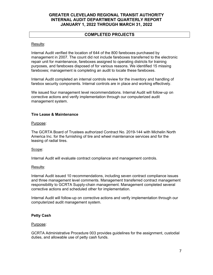# **COMPLETED PROJECTS**

#### Results:

Internal Audit verified the location of 644 of the 800 fareboxes purchased by management in 2007. The count did not include fareboxes transferred to the electronic repair unit for maintenance, fareboxes assigned to operating districts for training purposes, and fareboxes disposed of for various reasons. We identified 15 missing fareboxes; management is completing an audit to locate these fareboxes.

Internal Audit completed an internal controls review for the inventory and handling of farebox security components. Internal controls are in place and working effectively.

We issued four management level recommendations. Internal Audit will follow-up on corrective actions and verify implementation through our computerized audit management system.

# **Tire Lease & Maintenance**

#### Purpose:

The GCRTA Board of Trustees authorized Contract No. 2019-144 with Michelin North America Inc. for the furnishing of tire and wheel maintenance services and for the leasing of radial tires.

# Scope:

Internal Audit will evaluate contract compliance and management controls.

# Results:

Internal Audit issued 10 recommendations, including seven contract compliance issues and three management level comments. Management transferred contract management responsibility to GCRTA Supply-chain management. Management completed several corrective actions and scheduled other for implementation.

Internal Audit will follow-up on corrective actions and verify implementation through our computerized audit management system.

# **Petty Cash**

#### Purpose:

GCRTA Administrative Procedure 003 provides guidelines for the assignment, custodial duties, and allowable use of petty cash funds.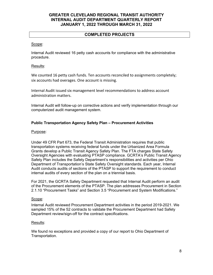# **COMPLETED PROJECTS**

# Scope:

Internal Audit reviewed 16 petty cash accounts for compliance with the administrative procedure.

# Results:

We counted 16 petty cash funds. Ten accounts reconciled to assignments completely; six accounts had overages. One account is missing.

Internal Audit issued six management level recommendations to address account administration matters.

Internal Audit will follow-up on corrective actions and verify implementation through our computerized audit management system.

# **Public Transportation Agency Safety Plan – Procurement Activities**

# Purpose:

Under 49 CFR Part 673, the Federal Transit Administration requires that public transportation systems receiving federal funds under the Urbanized Area Formula Grants develop a Public Transit Agency Safety Plan. The FTA charges State Safety Oversight Agencies with evaluating PTASP compliance. GCRTA's Public Transit Agency Safety Plan includes the Safety Department's responsibilities and activities per Ohio Department of Transportation's State Safety Oversight standards. Each year, Internal Audit conducts audits of sections of the PTASP to support the requirement to conduct internal audits of every section of the plan on a triennial basis.

For 2021, the GCRTA Safety Department requested that Internal Audit perform an audit of the Procurement elements of the PTASP. The plan addresses Procurement in Section 2.1.10 "Procurement Tasks" and Section 3.5 "Procurement and System Modifications."

# Scope:

Internal Audit reviewed Procurement Department activities in the period 2019-2021. We sampled 15% of the 52 contracts to validate the Procurement Department had Safety Department review/sign-off for the contract specifications.

# Results:

We found no exceptions and provided a copy of our report to Ohio Department of Transportation.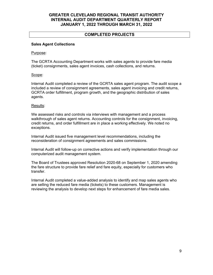# **COMPLETED PROJECTS**

# **Sales Agent Collections**

#### Purpose:

The GCRTA Accounting Department works with sales agents to provide fare media (ticket) consignments, sales agent invoices, cash collections, and returns.

# Scope:

Internal Audit completed a review of the GCRTA sales agent program. The audit scope a included a review of consignment agreements, sales agent invoicing and credit returns, GCRTA order fulfillment, program growth, and the geographic distribution of sales agents.

#### Results:

We assessed risks and controls via interviews with management and a process walkthrough of sales agent returns. Accounting controls for the consignment, invoicing, credit returns, and order fulfillment are in place a working effectively. We noted no exceptions.

Internal Audit issued five management level recommendations, including the reconsideration of consignment agreements and sales commissions.

Internal Audit will follow-up on corrective actions and verify implementation through our computerized audit management system.

The Board of Trustees approved Resolution 2020-68 on September 1, 2020 amending the fare structure to provide fare relief and fare equity, especially for customers who transfer.

Internal Audit completed a value-added analysis to identify and map sales agents who are selling the reduced fare media (tickets) to these customers. Management is reviewing the analysis to develop next steps for enhancement of fare media sales.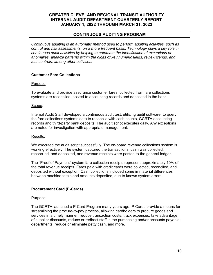# **CONTINUOUS AUDITING PROGRAM**

*Continuous auditing is an automatic method used to perform auditing activities, such as control and risk assessments, on a more frequent basis. Technology plays a key role in continuous audit activities by helping to automate the identification of exceptions or anomalies, analyze patterns within the digits of key numeric fields, review trends, and test controls, among other activities.* 

# **Customer Fare Collections**

#### Purpose:

To evaluate and provide assurance customer fares, collected from fare collections systems are reconciled, posted to accounting records and deposited in the bank.

#### Scope:

Internal Audit Staff developed a continuous audit test, utilizing audit software, to query the fare collections systems data to reconcile with cash counts, GCRTA accounting records and third-party bank deposits. The audit script executes daily. Any exceptions are noted for investigation with appropriate management.

#### Results:

We executed the audit script successfully. The on-board revenue collections system is working effectively. The system captured the transactions, cash was collected, reconciled, and deposited, and revenue receipts were posted to the general ledger.

The "Proof of Payment" system fare collection receipts represent approximately 10% of the total revenue receipts. Fares paid with credit cards were collected, reconciled, and deposited without exception. Cash collections included some immaterial differences between machine totals and amounts deposited, due to known system errors.

# **Procurement Card (P-Cards)**

#### Purpose:

The GCRTA launched a P-Card Program many years ago. P-Cards provide a means for streamlining the procure-to-pay process, allowing cardholders to procure goods and services in a timely manner, reduce transaction costs, track expenses, take advantage of supplier discounts, reduce or redirect staff in the purchasing and/or accounts payable departments, reduce or eliminate petty cash, and more.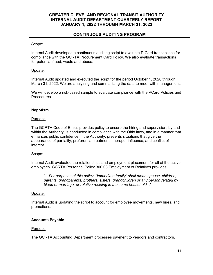# **CONTINUOUS AUDITING PROGRAM**

#### Scope:

Internal Audit developed a continuous auditing script to evaluate P-Card transactions for compliance with the GCRTA Procurement Card Policy. We also evaluate transactions for potential fraud, waste and abuse.

# Update:

Internal Audit updated and executed the script for the period October 1, 2020 through March 31, 2022. We are analyzing and summarizing the data to meet with management.

We will develop a risk-based sample to evaluate compliance with the PCard Policies and Procedures.

#### **Nepotism**

#### Purpose:

The GCRTA Code of Ethics provides policy to ensure the hiring and supervision, by and within the Authority, is conducted in compliance with the Ohio laws, and in a manner that enhances public confidence in the Authority, prevents situations that give the appearance of partiality, preferential treatment, improper influence, and conflict of interest.

#### Scope:

Internal Audit evaluated the relationships and employment placement for all of the active employees. GCRTA Personnel Policy 300.03 Employment of Relatives provides:

*"…For purposes of this policy, "immediate family" shall mean spouse, children, parents, grandparents, brothers, sisters, grandchildren or any person related by blood or marriage, or relative residing in the same household..."* 

#### Update:

Internal Audit is updating the script to account for employee movements, new hires, and promotions.

# **Accounts Payable**

#### Purpose:

The GCRTA Accounting Department processes payment to vendors and contractors.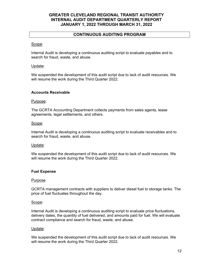# **CONTINUOUS AUDITING PROGRAM**

# Scope:

Internal Audit is developing a continuous auditing script to evaluate payables and to search for fraud, waste, and abuse.

# Update:

We suspended the development of this audit script due to lack of audit resources. We will resume the work during the Third Quarter 2022.

# **Accounts Receivable**

# Purpose:

The GCRTA Accounting Department collects payments from sales agents, lease agreements, legal settlements, and others.

# Scope:

Internal Audit is developing a continuous auditing script to evaluate receivables and to search for fraud, waste, and abuse.

# Update:

We suspended the development of this audit script due to lack of audit resources. We will resume the work during the Third Quarter 2022.

# **Fuel Expense**

# Purpose

GCRTA management contracts with suppliers to deliver diesel fuel to storage tanks. The price of fuel fluctuates throughout the day.

# Scope:

Internal Audit is developing a continuous auditing script to evaluate price fluctuations, delivery dates, the quantity of fuel delivered, and amounts paid for fuel. We will evaluate contract compliance and search for fraud, waste, and abuse.

# Update:

We suspended the development of this audit script due to lack of audit resources. We will resume the work during the Third Quarter 2022.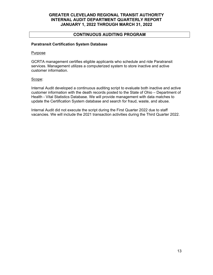# **CONTINUOUS AUDITING PROGRAM**

# **Paratransit Certification System Database**

#### Purpose

GCRTA management certifies eligible applicants who schedule and ride Paratransit services. Management utilizes a computerized system to store inactive and active customer information.

# Scope:

Internal Audit developed a continuous auditing script to evaluate both inactive and active customer information with the death records posted to the State of Ohio – Department of Health - Vital Statistics Database. We will provide management with data matches to update the Certification System database and search for fraud, waste, and abuse.

Internal Audit did not execute the script during the First Quarter 2022 due to staff vacancies. We will include the 2021 transaction activities during the Third Quarter 2022.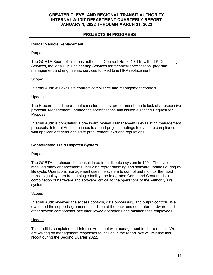# **PROJECTS IN PROGRESS**

# **Railcar Vehicle Replacement**

#### Purpose:

The GCRTA Board of Trustees authorized Contract No. 2019-115 with LTK Consulting Services, Inc. dba LTK Engineering Services for technical specification, program management and engineering services for Red Line HRV replacement.

# Scope:

Internal Audit will evaluate contract compliance and management controls.

# Update:

The Procurement Department canceled the first procurement due to lack of a responsive proposal. Management updated the specifications and issued a second Request for Proposal.

Internal Audit is completing a pre-award review. Management is evaluating management proposals. Internal Audit continues to attend project meetings to evaluate compliance with applicable federal and state procurement laws and regulations.

# **Consolidated Train Dispatch System**

# Purpose:

The GCRTA purchased the consolidated train dispatch system in 1994. The system received many enhancements, including reprogramming and software updates during its life cycle. Operations management uses the system to control and monitor the rapid transit signal system from a single facility, the Integrated Command Center. It is a combination of hardware and software, critical to the operations of the Authority's rail system.

# Scope:

Internal Audit reviewed the access controls, data processing, and output controls. We evaluated the support agreement, condition of the back-end computer hardware, and other system components. We interviewed operations and maintenance employees.

# Update:

This audit is completed and Internal Audit met with management to share results. We are waiting on management responses to include in the report. We will release this report during the Second Quarter 2022.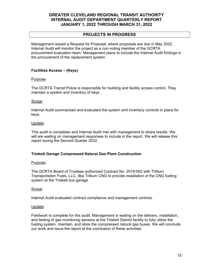# **PROJECTS IN PROGRESS**

Management issued a Request for Proposal, where proposals are due in May 2022. Internal Audit will monitor the project as a non-voting member of the GCRTA procurement evaluation team. Management plans to include the Internal Audit findings in the procurement of the replacement system.

# **Facilities Access – (Keys)**

# Purpose:

The GCRTA Transit Police is responsible for building and facility access control. They maintain a system and inventory of keys.

# Scope:

Internal Audit summarized and evaluated the system and inventory controls in place for keys.

# Update:

This audit is completed and Internal Audit met with management to share results. We will are waiting on management responses to include in the report. We will release this report during the Second Quarter 2022.

# **Triskett Garage Compressed Natural Gas Plant Construction**

# Purpose:

The GCRTA Board of Trustees authorized Contract No. 2019-062 with Trillium Transportation Fuels, LLC, dba Trillium CNG to provide installation of the CNG fueling system at the Triskett bus garage

# Scope:

Internal Audit evaluated contract compliance and management controls.

# Update:

Fieldwork is complete for this audit. Management is waiting on the delivery, installation, and testing of gas monitoring sensors at the Triskett District facility to fully utilize the fueling system, maintain, and store the compressed natural gas buses. We will conclude our work and issue the report at the conclusion of these activities.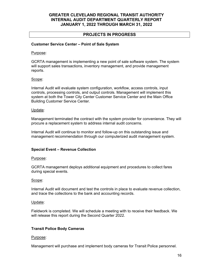# **PROJECTS IN PROGRESS**

# **Customer Service Center – Point of Sale System**

#### Purpose:

GCRTA management is implementing a new point of sale software system. The system will support sales transactions, inventory management, and provide management reports.

# Scope:

Internal Audit will evaluate system configuration, workflow, access controls, input controls, processing controls, and output controls. Management will implement this system at both the Tower City Center Customer Service Center and the Main Office Building Customer Service Center.

#### Update:

Management terminated the contract with the system provider for convenience. They will procure a replacement system to address internal audit concerns.

Internal Audit will continue to monitor and follow-up on this outstanding issue and management recommendation through our computerized audit management system.

# **Special Event – Revenue Collection**

# Purpose:

GCRTA management deploys additional equipment and procedures to collect fares during special events.

# Scope:

Internal Audit will document and test the controls in place to evaluate revenue collection, and trace the collections to the bank and accounting records.

#### Update:

Fieldwork is completed. We will schedule a meeting with to receive their feedback. We will release this report during the Second Quarter 2022.

# **Transit Police Body Cameras**

# Purpose:

Management will purchase and implement body cameras for Transit Police personnel.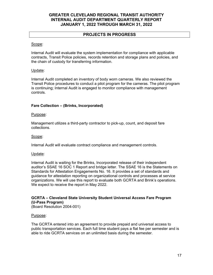# **PROJECTS IN PROGRESS**

# Scope:

Internal Audit will evaluate the system implementation for compliance with applicable contracts, Transit Police policies, records retention and storage plans and policies, and the chain of custody for transferring information.

# Update:

Internal Audit completed an inventory of body worn cameras. We also reviewed the Transit Police procedures to conduct a pilot program for the cameras. The pilot program is continuing; Internal Audit is engaged to monitor compliance with management controls.

# **Fare Collection – (Brinks, Incorporated)**

# Purpose:

Management utilizes a third-party contractor to pick-up, count, and deposit fare collections.

# Scope:

Internal Audit will evaluate contract compliance and management controls.

# Update:

Internal Audit is waiting for the Brinks, Incorporated release of their independent auditor's SSAE 16 SOC 1 Report and bridge letter. The SSAE 16 is the Statements on Standards for Attestation Engagements No. 16. It provides a set of standards and guidance for attestation reporting on organizational controls and processes at service organizations. We will use this report to evaluate both GCRTA and Brink's operations. We expect to receive the report in May 2022.

# **GCRTA – Cleveland State University Student Universal Access Fare Program (U-Pass Program)**

(Board Resolution 2004-001)

# Purpose:

The GCRTA entered into an agreement to provide prepaid and universal access to public transportation services. Each full time student pays a flat fee per semester and is able to ride GCRTA services on an unlimited basis during the semester.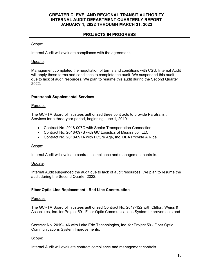# **PROJECTS IN PROGRESS**

# Scope:

Internal Audit will evaluate compliance with the agreement.

# Update:

Management completed the negotiation of terms and conditions with CSU. Internal Audit will apply these terms and conditions to complete the audit. We suspended this audit due to lack of audit resources. We plan to resume this audit during the Second Quarter 2022.

# **Paratransit Supplemental Services**

# Purpose:

The GCRTA Board of Trustees authorized three contracts to provide Paratransit Services for a three-year period, beginning June 1, 2019.

- Contract No. 2018-097C with Senior Transportation Connection
- Contract No. 2018-097B with GC Logistics of Mississippi, LLC
- Contract No. 2018-097A with Future Age, Inc. DBA Provide A Ride

# Scope:

Internal Audit will evaluate contract compliance and management controls.

# Update:

Internal Audit suspended the audit due to lack of audit resources. We plan to resume the audit during the Second Quarter 2022.

# **Fiber Optic Line Replacement - Red Line Construction**

# Purpose:

The GCRTA Board of Trustees authorized Contract No. 2017-122 with Clifton, Weiss & Associates, Inc. for Project 59 - Fiber Optic Communications System Improvements and

Contract No. 2019-146 with Lake Erie Technologies, Inc. for Project 59 - Fiber Optic Communications System Improvements.

# Scope:

Internal Audit will evaluate contract compliance and management controls.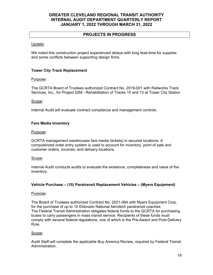# **PROJECTS IN PROGRESS**

# Update:

We noted this construction project experienced delays with long lead-time for supplies and some conflicts between supporting design firms.

# **Tower City Track Replacement**

# Purpose:

The GCRTA Board of Trustees authorized Contract No. 2019-001 with Railworks Track Services, Inc., for Project 52M - Rehabilitation of Tracks 10 and 13 at Tower City Station

# Scope:

Internal Audit will evaluate contract compliance and management controls.

# **Fare Media Inventory**

# Purpose:

GCRTA management warehouses fare media (tickets) in secured locations. A computerized order entry system is used to account for inventory, point of sale and customer orders, invoices, and delivery locations.

# Scope:

Internal Audit conducts audits to evaluate the existence, completeness and value of the inventory.

# **Vehicle Purchase – (10) Paratransit Replacement Vehicles – (Myers Equipment)**

# Purpose:

The Board of Trustees authorized Contract No. 2021-064 with Myers Equipment Corp. for the purchase of up to 10 Eldorado National Aerotech paratransit coaches. The Federal Transit Administration obligates federal funds to the GCRTA for purchasing buses to carry passengers in mass transit service. Recipients of these funds must comply with several federal regulations, one of which is the Pre-Award and Post-Delivery Rule.

# Scope:

Audit Staff will complete the applicable Buy America Review, required by Federal Transit Administration.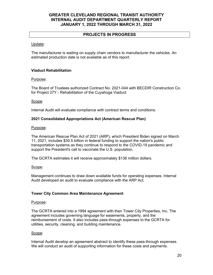# **PROJECTS IN PROGRESS**

# Update:

The manufacturer is waiting on supply chain vendors to manufacturer the vehicles. An estimated production date is not available as of this report.

# **Viaduct Rehabilitation**

# Purpose:

The Board of Trustees authorized Contract No. 2021-044 with BECDIR Construction Co. for Project 27Y - Rehabilitation of the Cuyahoga Viaduct.

# Scope:

Internal Audit will evaluate compliance with contract terms and conditions.

# **2021 Consolidated Appropriations Act (American Rescue Plan)**

# Purpose:

The American Rescue Plan Act of 2021 (ARP), which President Biden signed on March 11, 2021, includes \$30.5 billion in federal funding to support the nation's public transportation systems as they continue to respond to the COVID-19 pandemic and support the President's call to vaccinate the U.S. population.

The GCRTA estimates it will receive approximately \$136 million dollars.

# Scope:

Management continues to draw down available funds for operating expenses. Internal Audit developed an audit to evaluate compliance with the ARP Act.

# **Tower City Common Area Maintenance Agreement**

# Purpose:

The GCRTA entered into a 1994 agreement with then Tower City Properties, Inc. The agreement includes governing language for easements, property, and the reimbursement of costs. It also includes pass-through expenses to the GCRTA for utilities, security, cleaning, and building maintenance.

# Scope:

Internal Audit develop an agreement abstract to identify these pass-through expenses. We will conduct an audit of supporting information for these costs and payments.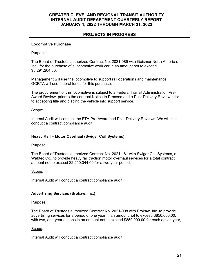# **PROJECTS IN PROGRESS**

# **Locomotive Purchase**

# Purpose:

The Board of Trustees authorized Contract No. 2021-089 with Geismar North America, Inc., for the purchase of a locomotive work car in an amount not to exceed \$3,291,204.80.

Management will use the locomotive to support rail operations and maintenance. GCRTA will use federal funds for this purchase.

The procurement of this locomotive is subject to a Federal Transit Administration Pre-Award Review, prior to the contract Notice to Proceed and a Post-Delivery Review prior to accepting title and placing the vehicle into support service.

#### Scope:

Internal Audit will conduct the FTA Pre-Award and Post-Delivery Reviews. We will also conduct a contract compliance audit.

# **Heavy Rail – Motor Overhaul (Swiger Coil Systems)**

# Purpose:

The Board of Trustees authorized Contract No. 2021-181 with Swiger Coil Systems, a Wabtec Co., to provide heavy rail traction motor overhaul services for a total contract amount not to exceed \$2,210,344.00 for a two-year period.

# Scope:

Internal Audit will conduct a contract compliance audit.

# **Advertising Services (Brokaw, Inc.)**

#### Purpose:

The Board of Trustees authorized Contract No. 2021-098 with Brokaw, Inc. to provide advertising services for a period of one year in an amount not to exceed \$850,000.00, with two, one-year options in an amount not to exceed \$850,000.00 for each option year,

#### Scope:

Internal Audit will conduct a contract compliance audit.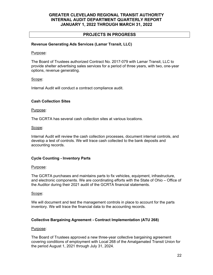# **PROJECTS IN PROGRESS**

# **Revenue Generating Ads Services (Lamar Transit, LLC)**

#### Purpose:

The Board of Trustees authorized Contract No. 2017-079 with Lamar Transit, LLC to provide shelter advertising sales services for a period of three years, with two, one-year options, revenue generating.

# Scope:

Internal Audit will conduct a contract compliance audit.

# **Cash Collection Sites**

#### Purpose:

The GCRTA has several cash collection sites at various locations.

#### Scope:

Internal Audit will review the cash collection processes, document internal controls, and develop a test of controls. We will trace cash collected to the bank deposits and accounting records.

# **Cycle Counting - Inventory Parts**

# Purpose:

The GCRTA purchases and maintains parts to fix vehicles, equipment, infrastructure, and electronic components. We are coordinating efforts with the State of Ohio – Office of the Auditor during their 2021 audit of the GCRTA financial statements.

# Scope:

We will document and test the management controls in place to account for the parts inventory. We will trace the financial data to the accounting records.

# **Collective Bargaining Agreement - Contract Implementation (ATU 268)**

# Purpose:

The Board of Trustees approved a new three-year collective bargaining agreement covering conditions of employment with Local 268 of the Amalgamated Transit Union for the period August 1, 2021 through July 31, 2024.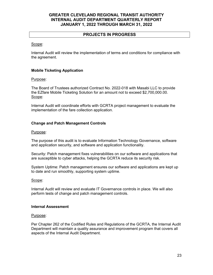# **PROJECTS IN PROGRESS**

# Scope:

Internal Audit will review the implementation of terms and conditions for compliance with the agreement.

# **Mobile Ticketing Application**

# Purpose:

The Board of Trustees authorized Contract No. 2022-018 with Masabi LLC to provide the EZfare Mobile Ticketing Solution for an amount not to exceed \$2,700,000.00. Scope:

Internal Audit will coordinate efforts with GCRTA project management to evaluate the implementation of the fare collection application.

# **Change and Patch Management Controls**

#### Purpose:

The purpose of this audit is to evaluate Information Technology Governance, software and application security, and software and application functionality.

Security: Patch management fixes vulnerabilities on our software and applications that are susceptible to cyber attacks, helping the GCRTA reduce its security risk.

System Uptime: Patch management ensures our software and applications are kept up to date and run smoothly, supporting system uptime.

# Scope:

Internal Audit will review and evaluate IT Governance controls in place. We will also perform tests of change and patch management controls.

#### **Internal Assessment**

# Purpose:

Per Chapter 262 of the Codified Rules and Regulations of the GCRTA, the Internal Audit Department will maintain a quality assurance and improvement program that covers all aspects of the Internal Audit Department.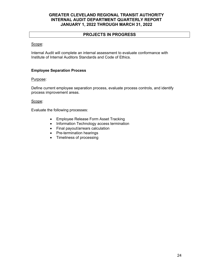# **PROJECTS IN PROGRESS**

# Scope:

Internal Audit will complete an internal assessment to evaluate conformance with Institute of Internal Auditors Standards and Code of Ethics.

# **Employee Separation Process**

# Purpose:

Define current employee separation process, evaluate process controls, and identify process improvement areas.

# Scope:

Evaluate the following processes:

- Employee Release Form Asset Tracking
- Information Technology access termination
- Final payout/arrears calculation
- Pre-termination hearings
- Timeliness of processing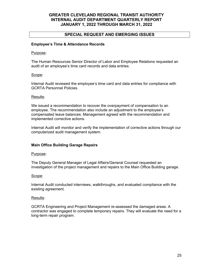# **SPECIAL REQUEST AND EMERGING ISSUES**

# **Employee's Time & Attendance Records**

#### Purpose:

The Human Resources Senior Director of Labor and Employee Relations requested an audit of an employee's time card records and data entries.

# Scope:

Internal Audit reviewed the employee's time card and data entries for compliance with GCRTA Personnel Policies.

#### Results:

We issued a recommendation to recover the overpayment of compensation to an employee. The recommendation also include an adjustment to the employee's compensated leave balances. Management agreed with the recommendation and implemented corrective actions.

Internal Audit will monitor and verify the implementation of corrective actions through our computerized audit management system.

# **Main Office Building Garage Repairs**

#### Purpose:

The Deputy General Manager of Legal Affairs/General Counsel requested an investigation of the project management and repairs to the Main Office Building garage.

# Scope:

Internal Audit conducted interviews, walkthroughs, and evaluated compliance with the existing agreement.

#### Results:

GCRTA Engineering and Project Management re-assessed the damaged areas. A contractor was engaged to complete temporary repairs. They will evaluate the need for a long-term repair program.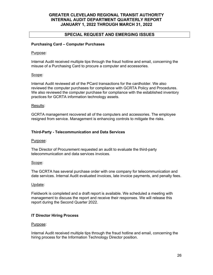# **SPECIAL REQUEST AND EMERGING ISSUES**

# **Purchasing Card – Computer Purchases**

#### Purpose:

Internal Audit received multiple tips through the fraud hotline and email, concerning the misuse of a Purchasing Card to procure a computer and accessories.

#### Scope:

Internal Audit reviewed all of the PCard transactions for the cardholder. We also reviewed the computer purchases for compliance with GCRTA Policy and Procedures. We also reviewed the computer purchase for compliance with the established inventory practices for GCRTA information technology assets.

#### Results:

GCRTA management recovered all of the computers and accessories. The employee resigned from service. Management is enhancing controls to mitigate the risks.

# **Third-Party - Telecommunication and Data Services**

#### Purpose:

The Director of Procurement requested an audit to evaluate the third-party telecommunication and data services invoices.

#### Scope:

The GCRTA has several purchase order with one company for telecommunication and date services. Internal Audit evaluated invoices, late invoice payments, and penalty fees.

#### Update:

Fieldwork is completed and a draft report is available. We scheduled a meeting with management to discuss the report and receive their responses. We will release this report during the Second Quarter 2022.

# **IT Director Hiring Process**

# Purpose:

Internal Audit received multiple tips through the fraud hotline and email, concerning the hiring process for the Information Technology Director position.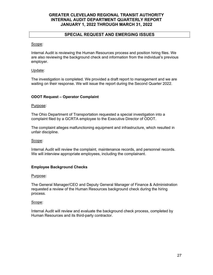# **SPECIAL REQUEST AND EMERGING ISSUES**

#### Scope:

Internal Audit is reviewing the Human Resources process and position hiring files. We are also reviewing the background check and information from the individual's previous employer.

# Update:

The investigation is completed. We provided a draft report to management and we are waiting on their response. We will issue the report during the Second Quarter 2022.

# **ODOT Request – Operator Complaint**

# Purpose:

The Ohio Department of Transportation requested a special investigation into a complaint filed by a GCRTA employee to the Executive Director of ODOT.

The complaint alleges malfunctioning equipment and infrastructure, which resulted in unfair discipline.

# Scope:

Internal Audit will review the complaint, maintenance records, and personnel records. We will interview appropriate employees, including the complainant.

# **Employee Background Checks**

#### Purpose:

The General Manager/CEO and Deputy General Manager of Finance & Administration requested a review of the Human Resources background check during the hiring process.

# Scope:

Internal Audit will review and evaluate the background check process, completed by Human Resources and its third-party contractor.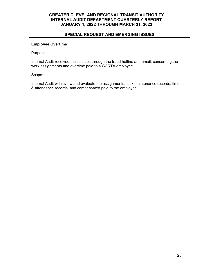# **SPECIAL REQUEST AND EMERGING ISSUES**

# **Employee Overtime**

#### Purpose:

Internal Audit received multiple tips through the fraud hotline and email, concerning the work assignments and overtime paid to a GCRTA employee.

#### Scope:

Internal Audit will review and evaluate the assignments, task maintenance records, time & attendance records, and compensated paid to the employee.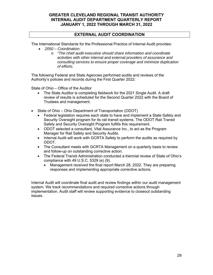# **EXTERNAL AUDIT COORDINATION**

The International Standards for the Professional Practice of Internal Audit provides:

- *2050 Coordination:* 
	- o *"The chief audit executive should share information and coordinate activities with other internal and external providers of assurance and consulting services to ensure proper coverage and minimize duplication of efforts.*

The following Federal and State Agencies performed audits and reviews of the Authority's policies and records during the First Quarter 2022:

State of Ohio – Office of the Auditor

- The State Auditor is completing fieldwork for the 2021 Single Audit. A draft review of results is scheduled for the Second Quarter 2022 with the Board of Trustees and management.
- State of Ohio Ohio Department of Transportation (ODOT)
	- Federal legislation requires each state to have and implement a State Safety and Security Oversight program for its rail transit systems. The ODOT Rail Transit Safety and Security Oversight Program fulfills this requirement.
	- ODOT selected a consultant, Vital Assurance Inc., to act as the Program Manager for Rail Safety and Security Audits.
	- Internal Audit will work with GCRTA Safety to perform the audits as required by ODOT.
	- The Consultant meets with GCRTA Management on a quarterly basis to review and follow-up on outstanding corrective action.
	- The Federal Transit Administration conducted a triennial review of State of Ohio's compliance with 49 U.S.C. 5329 (e) (9).
		- Management received the final report March 28, 2022. They are preparing responses and implementing appropriate corrective actions.

Internal Audit will coordinate final audit and review findings within our audit management system. We track recommendations and required corrective actions through implementation. Audit staff will review supporting evidence to closeout outstanding issues.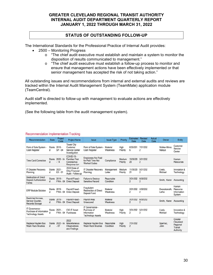# **STATUS OF OUTSTANDING FOLLOW-UP**

The International Standards for the Professional Practice of Internal Audit provides:

- 2500 Monitoring Progress
	- $\circ$  "The chief audit executive must establish and maintain a system to monitor the disposition of results communicated to management."
	- o "The chief audit executive must establish a follow-up process to monitor and ensure that management actions have been effectively implemented or that senior management has accepted the risk of not taking action."

All outstanding issues and recommendations from internal and external audits and reviews are tracked within the Internal Audit Management System (TeamMate) application module (TeamCentral).

Audit staff is directed to follow-up with management to evaluate actions are effectively implemented.

(See the following table from the audit management system).

#### **Recommendation Implementation Tracking**

| Recommendation                                                         | <b>State</b>       | Project<br>Code           | <b>Project Name</b>                                                       | <b>Issue</b>                                                              | <b>Issue Type</b>       | Priority           | <b>Estimated</b><br>Date   | <b>Revised</b><br>Date     | Actual<br>Date | Owner                   | Entity                                                   |
|------------------------------------------------------------------------|--------------------|---------------------------|---------------------------------------------------------------------------|---------------------------------------------------------------------------|-------------------------|--------------------|----------------------------|----------------------------|----------------|-------------------------|----------------------------------------------------------|
| Point of Sale System -<br><b>Cash Register</b>                         | Starte<br>d        | $2016 -$<br>$SP - 04$     | <b>Tower City</b><br>Customer<br>Service Center<br>Investigation          | Point of Sale System -<br>Cash Register                                   | Material<br>Weakness    | High<br>Priority   | 6/30/201<br>6              | 7/31/202<br>$\overline{c}$ |                | Walker-Minor.<br>Natova | Customer<br>Service<br>Center                            |
| <b>Time Card Correction</b>                                            | <b>Starte</b><br>d | $2020 - IA$<br>$-14$      | COVID-19 -<br><b>Families First</b><br>Coronavirus<br><b>Response Act</b> | <b>Employees Not Paid</b><br>for Paid Time Not<br><b>Worked Codes</b>     | Compliance              | Medium<br>Priority | 10/30/20<br>20             | 3/31/202<br>$\overline{2}$ |                |                         | Human<br>Resources                                       |
| <b>IT Disaster Recovery</b><br>Planning                                | Starte<br>d        | $2021 -$<br>$EX - 01$     | 2020 State of<br>Ohio Financial<br>Audit - Follow-up                      | <b>IT Disaster Recovery</b><br>Planning                                   | Management<br>Letter    | Medium<br>Priority | 11/30/20<br>21             | 5/31/202<br>2              |                | Lively.<br>Michael      | Innvoation &<br>Technology                               |
| <b>Destruction of Direct</b><br><b>Deposit Authorization</b><br>Forms  | <b>Starte</b><br>d | $2019 -$<br><b>FWA-04</b> | Payroll Fraud -<br><b>Direct Deposit</b>                                  | <b>Failure to Destroy</b><br>Sensitive Record                             | Reportable<br>Condition |                    | 3/31/202<br>2              | 6/30/202<br>2              |                | Smith, Karen            | Accounting                                               |
| <b>ERP Module Solution</b>                                             | Starte<br>d        | $2019 -$<br><b>FWA-04</b> | Payroll Fraud -<br><b>Direct Deposit</b>                                  | Fraudulent<br><b>Redirection of Direct</b><br>Deposit Fund                | Material<br>Weakness    |                    | 3/31/202<br>2              | 4/30/202<br>2              |                | Dwarakanath.<br>Latha   | Human<br>Resource<br>Information<br>System               |
| <b>Restricted Access.</b><br>Service Counter.<br>Records Storage       | Starte<br>d        | $2019 -$<br><b>FWA-04</b> | Payroll Fraud -<br><b>Direct Deposit</b>                                  | Payroll Area<br><b>Unsecured</b>                                          | Material<br>Weakness    |                    | 3/31/202<br>$\overline{2}$ | 6/30/202<br>2              |                | Smith, Karen            | Accounting                                               |
| IT Governance -<br>Purchase of Information<br><b>Technology Assets</b> | Starte<br>d        | $2021 -$<br><b>FWA-04</b> | CIO IT Asset<br>Purchases                                                 | IT Governance -<br>Purchase of<br>Information<br><b>Technology Assets</b> | Material<br>Weakness    | High<br>Priority   | 3/31/202<br>2              | 5/31/202<br>$\overline{2}$ |                | Lively.<br>Michael      | Innvoation &<br>Technology                               |
| Replace Hayden Bus<br>Wash Rack Brushes                                | <b>Starte</b><br>d | $2022 - IA$<br>$-07$      | 2022<br>Miscellaneous<br>Observations<br>and Findings                     | Replace Hayden Bus<br>Wash Rack Brushes                                   | Reportable<br>Condition | High<br>Priority   | 7/31/202<br>$\overline{2}$ |                            |                | Sperhac,<br>John        | Greater<br>Cleveland<br>Regional<br>Transit<br>Authority |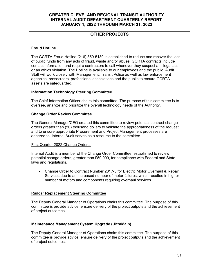# **OTHER PROJECTS**

# **Fraud Hotline**

The GCRTA Fraud Hotline (216) 350-5130 is established to reduce and recover the loss of public funds from any acts of fraud, waste and/or abuse. GCRTA contracts include contact information and require contractors to call whenever they suspect an illegal act or an ethics violation. The Hotline is available to our employees and the public. Audit Staff will work closely with Management, Transit Police as well as law enforcement agencies, prosecutors, professional associations and the public to ensure GCRTA assets are safeguarded.

# **Information Technology Steering Committee**

The Chief Information Officer chairs this committee. The purpose of this committee is to oversee, analyze and prioritize the overall technology needs of the Authority.

# **Change Order Review Committee**

The General Manager/CEO created this committee to review potential contract change orders greater than (50) thousand dollars to validate the appropriateness of the request and to ensure appropriate Procurement and Project Management processes are adhered to. Internal Audit serves as a resource to the committee.

# First Quarter 2022 Change Orders:

Internal Audit is a member of the Change Order Committee, established to review potential change orders, greater than \$50,000, for compliance with Federal and State laws and regulations.

 Change Order to Contract Number 2017-5 for Electric Motor Overhaul & Repair Services due to an increased number of motor failures, which resulted in higher number of motors and components requiring overhaul services.

# **Railcar Replacement Steering Committee**

The Deputy General Manager of Operations chairs this committee. The purpose of this committee is provide advice; ensure delivery of the project outputs and the achievement of project outcomes.

# **Maintenance Management System Upgrade (UltraMain)**

The Deputy General Manager of Operations chairs this committee. The purpose of this committee is provide advice; ensure delivery of the project outputs and the achievement of project outcomes.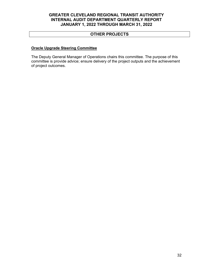# **OTHER PROJECTS**

# **Oracle Upgrade Steering Committee**

The Deputy General Manager of Operations chairs this committee. The purpose of this committee is provide advice; ensure delivery of the project outputs and the achievement of project outcomes.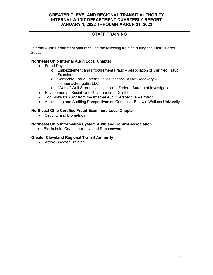# **STAFF TRAINING**

Internal Audit Department staff received the following training during the First Quarter 2022:

# **Northeast Ohio Internal Audit Local Chapter**

- Fraud Dav
	- o Embezzlement and Procurement Fraud Association of Certified Fraud **Examiners**
	- o Corporate Fraud, Internal Investigations, Asset Recovery Flannery/Georgalis, LLC
	- o "Wolf of Wall Street Investigation" Federal Bureau of Investigation
- Environmental, Social, and Governance Deloitte
- Top Risks for 2022 from the Internal Audit Perspective Protiviti
- Accounting and Auditing Perspectives on Campus Baldwin Wallace University

# **Northeast Ohio Certified Fraud Examiners Local Chapter**

• Security and Biometrics

# **Northeast Ohio Information System Audit and Control Association**

Blockchain, Cryptocurrency, and Ransomware

# **Greater Cleveland Regional Transit Authority**

• Active Shooter Training